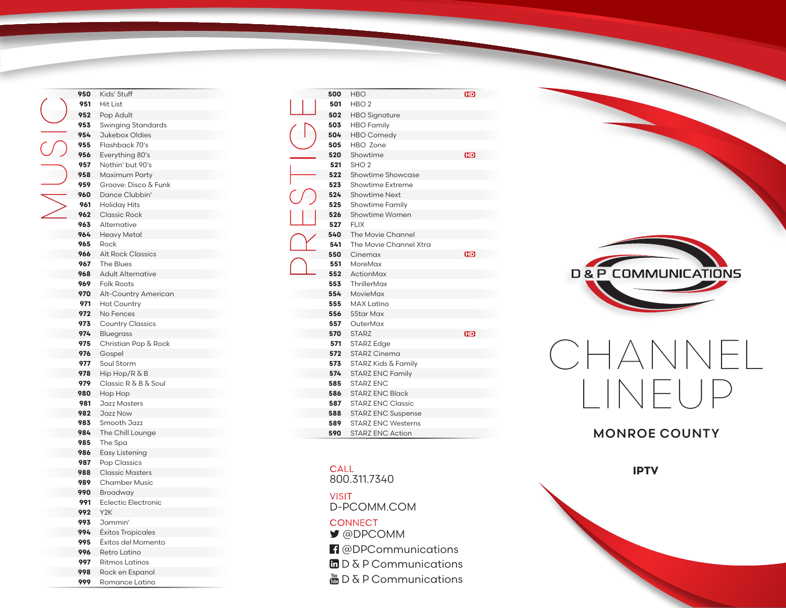| 950 | Kids' Stuff                |
|-----|----------------------------|
| 951 | Hit List                   |
| 952 | Pop Adult                  |
| 953 | Swinging Standards         |
| 954 | Jukebox Oldies             |
| 955 | Flashback 70's             |
| 956 | Everything 80's            |
| 957 | Nothin' but 90's           |
| 958 | Maximum Party              |
| 959 | Groove: Disco & Funk       |
| 960 | Dance Clubbin'             |
| 961 | Holiday Hits               |
| 962 | <b>Classic Rock</b>        |
| 963 | Alternative                |
| 964 | Heavy Metal                |
| 965 | Rock                       |
| 966 | <b>Alt Rock Classics</b>   |
| 967 | <b>The Blues</b>           |
| 968 | <b>Adult Alternative</b>   |
| 969 | <b>Folk Roots</b>          |
| 970 | Alt-Country American       |
| 971 | <b>Hot Country</b>         |
| 972 | No Fences                  |
|     |                            |
| 973 | <b>Country Classics</b>    |
| 974 | <b>Bluegrass</b>           |
| 975 | Christian Pop & Rock       |
| 976 | Gospel                     |
| 977 | Soul Storm                 |
| 978 | Hip Hop/R & B              |
| 979 | Classic R & B & Soul       |
| 980 | Hop Hop                    |
| 981 | Jazz Masters               |
| 982 | Jazz Now                   |
| 983 | Smooth Jazz                |
| 984 | The Chill Lounge           |
| 985 | The Spa                    |
| 986 | Easy Listening             |
| 987 | Pop Classics               |
| 988 | <b>Classic Masters</b>     |
| 989 | <b>Chamber Music</b>       |
| 990 | Broadway                   |
| 991 | <b>Eclectic Electronic</b> |
| 992 | Y <sub>2</sub> K           |
| 993 | Jammin'                    |
| 994 | Éxitos Tropicales          |
| 995 | Éxitos del Momento         |
| 996 | Retro Latino               |
| 997 | <b>Ritmos Latinos</b>      |

 Rock en Espanol Romance Latino

| 500 | <b>HBO</b>                | <b>HD</b> |  |
|-----|---------------------------|-----------|--|
| 501 | HBO <sub>2</sub>          |           |  |
| 502 | <b>HBO Signature</b>      |           |  |
| 503 | <b>HBO</b> Family         |           |  |
| 504 | <b>HBO Comedy</b>         |           |  |
| 505 | HBO Zone                  |           |  |
| 520 | Showtime                  | <b>HD</b> |  |
| 521 | SHO <sub>2</sub>          |           |  |
| 522 | Showtime Showcase         |           |  |
| 523 | Showtime Extreme          |           |  |
| 524 | <b>Showtime Next</b>      |           |  |
| 525 | <b>Showtime Family</b>    |           |  |
| 526 | Showtime Women            |           |  |
| 527 | <b>FLIX</b>               |           |  |
| 540 | The Movie Channel         |           |  |
| 541 | The Movie Channel Xtra    |           |  |
| 550 | Cinemax                   | <b>HD</b> |  |
| 551 | MoreMax                   |           |  |
| 552 | ActionMax                 |           |  |
| 553 | ThrillerMax               |           |  |
| 554 | MovieMax                  |           |  |
| 555 | <b>MAX Latino</b>         |           |  |
| 556 | <b>5Star Max</b>          |           |  |
| 557 | OuterMax                  |           |  |
| 570 | <b>STARZ</b>              | <b>HD</b> |  |
| 571 | <b>STARZ Edge</b>         |           |  |
| 572 | <b>STARZ Cinema</b>       |           |  |
| 573 | STARZ Kids & Family       |           |  |
| 574 | <b>STARZ ENC Family</b>   |           |  |
| 585 | <b>STARZ ENC</b>          |           |  |
| 586 | <b>STARZ ENC Black</b>    |           |  |
| 587 | <b>STARZ ENC Classic</b>  |           |  |
| 588 | <b>STARZ ENC Suspense</b> |           |  |
| 589 | <b>STARZ ENC Westerns</b> |           |  |
| 590 | <b>STARZ ENC Action</b>   |           |  |

## **CALL**

800.311.7340

D-PCOMM.COM VISIT @DPCOMM **CONNECT** 

- **f** @DPCommunications
- $\ln D \& P$  Communications
- 
- $\frac{M}{200}$  D & P Communications



## CHANNEL LINEUP

## MONROE COUNTY

**IPTV**